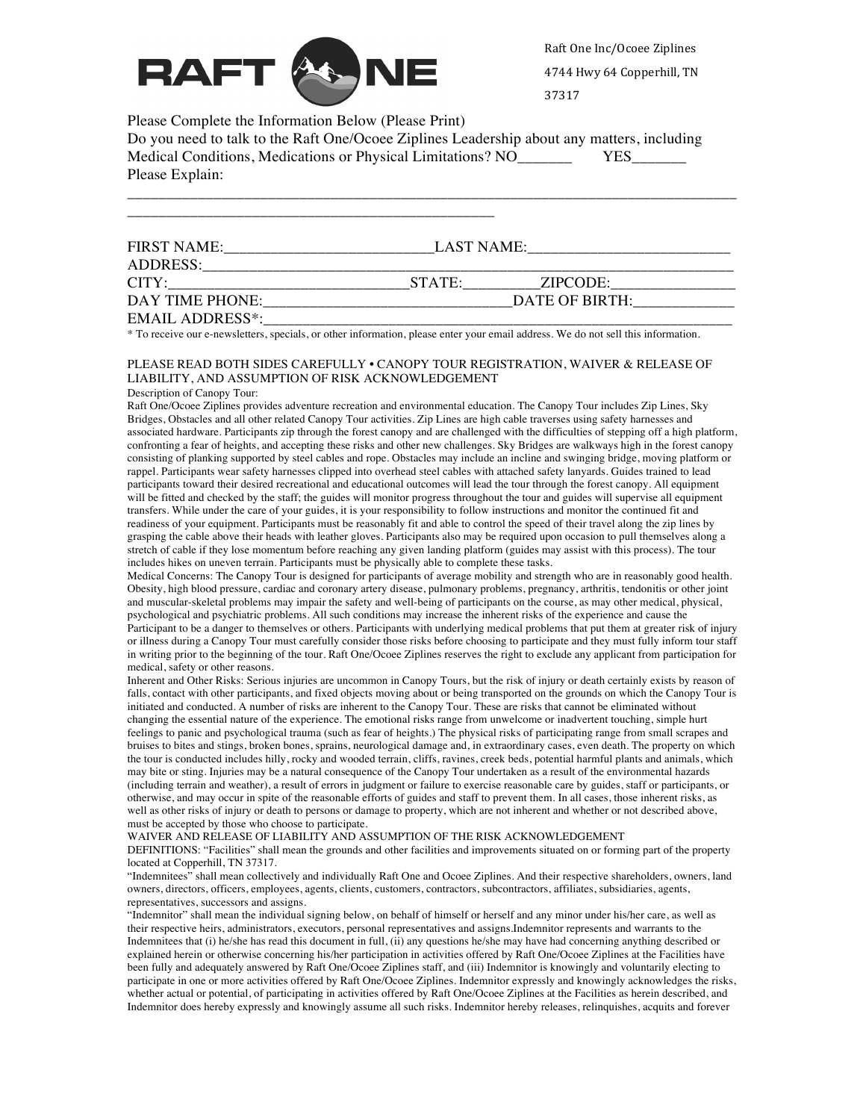

Raft One Inc/Ocoee Ziplines 4744 Hwy 64 Copperhill, TN

37317

Please Complete the Information Below (Please Print)

Do you need to talk to the Raft One/Ocoee Ziplines Leadership about any matters, including Medical Conditions, Medications or Physical Limitations? NO\_\_\_\_\_\_\_\_\_\_\_ YES\_ Please Explain:

| <b>FIRST NAME:</b>     | LAST NAME:     |          |  |
|------------------------|----------------|----------|--|
| ADDRESS:               |                |          |  |
| CITY:                  | STATE:         | ZIPCODE: |  |
| DAY TIME PHONE:        | DATE OF BIRTH: |          |  |
| <b>EMAIL ADDRESS*:</b> |                |          |  |

\_\_\_\_\_\_\_\_\_\_\_\_\_\_\_\_\_\_\_\_\_\_\_\_\_\_\_\_\_\_\_\_\_\_\_\_\_\_\_\_\_\_\_\_\_\_\_\_\_\_\_\_\_\_\_\_\_\_\_\_\_\_\_\_\_\_\_\_\_\_\_\_\_\_\_\_\_\_

\* To receive our e-newsletters, specials, or other information, please enter your email address. We do not sell this information.

## PLEASE READ BOTH SIDES CAREFULLY • CANOPY TOUR REGISTRATION, WAIVER & RELEASE OF LIABILITY, AND ASSUMPTION OF RISK ACKNOWLEDGEMENT

Description of Canopy Tour:

Raft One/Ocoee Ziplines provides adventure recreation and environmental education. The Canopy Tour includes Zip Lines, Sky Bridges, Obstacles and all other related Canopy Tour activities. Zip Lines are high cable traverses using safety harnesses and associated hardware. Participants zip through the forest canopy and are challenged with the difficulties of stepping off a high platform, confronting a fear of heights, and accepting these risks and other new challenges. Sky Bridges are walkways high in the forest canopy consisting of planking supported by steel cables and rope. Obstacles may include an incline and swinging bridge, moving platform or rappel. Participants wear safety harnesses clipped into overhead steel cables with attached safety lanyards. Guides trained to lead participants toward their desired recreational and educational outcomes will lead the tour through the forest canopy. All equipment will be fitted and checked by the staff; the guides will monitor progress throughout the tour and guides will supervise all equipment transfers. While under the care of your guides, it is your responsibility to follow instructions and monitor the continued fit and readiness of your equipment. Participants must be reasonably fit and able to control the speed of their travel along the zip lines by grasping the cable above their heads with leather gloves. Participants also may be required upon occasion to pull themselves along a stretch of cable if they lose momentum before reaching any given landing platform (guides may assist with this process). The tour includes hikes on uneven terrain. Participants must be physically able to complete these tasks.

Medical Concerns: The Canopy Tour is designed for participants of average mobility and strength who are in reasonably good health. Obesity, high blood pressure, cardiac and coronary artery disease, pulmonary problems, pregnancy, arthritis, tendonitis or other joint and muscular-skeletal problems may impair the safety and well-being of participants on the course, as may other medical, physical, psychological and psychiatric problems. All such conditions may increase the inherent risks of the experience and cause the Participant to be a danger to themselves or others. Participants with underlying medical problems that put them at greater risk of injury or illness during a Canopy Tour must carefully consider those risks before choosing to participate and they must fully inform tour staff in writing prior to the beginning of the tour. Raft One/Ocoee Ziplines reserves the right to exclude any applicant from participation for medical, safety or other reasons.

Inherent and Other Risks: Serious injuries are uncommon in Canopy Tours, but the risk of injury or death certainly exists by reason of falls, contact with other participants, and fixed objects moving about or being transported on the grounds on which the Canopy Tour is initiated and conducted. A number of risks are inherent to the Canopy Tour. These are risks that cannot be eliminated without changing the essential nature of the experience. The emotional risks range from unwelcome or inadvertent touching, simple hurt feelings to panic and psychological trauma (such as fear of heights.) The physical risks of participating range from small scrapes and bruises to bites and stings, broken bones, sprains, neurological damage and, in extraordinary cases, even death. The property on which the tour is conducted includes hilly, rocky and wooded terrain, cliffs, ravines, creek beds, potential harmful plants and animals, which may bite or sting. Injuries may be a natural consequence of the Canopy Tour undertaken as a result of the environmental hazards (including terrain and weather), a result of errors in judgment or failure to exercise reasonable care by guides, staff or participants, or otherwise, and may occur in spite of the reasonable efforts of guides and staff to prevent them. In all cases, those inherent risks, as well as other risks of injury or death to persons or damage to property, which are not inherent and whether or not described above, must be accepted by those who choose to participate.

WAIVER AND RELEASE OF LIABILITY AND ASSUMPTION OF THE RISK ACKNOWLEDGEMENT

DEFINITIONS: "Facilities" shall mean the grounds and other facilities and improvements situated on or forming part of the property located at Copperhill, TN 37317.

"Indemnitees" shall mean collectively and individually Raft One and Ocoee Ziplines. And their respective shareholders, owners, land owners, directors, officers, employees, agents, clients, customers, contractors, subcontractors, affiliates, subsidiaries, agents, representatives, successors and assigns.

"Indemnitor" shall mean the individual signing below, on behalf of himself or herself and any minor under his/her care, as well as their respective heirs, administrators, executors, personal representatives and assigns.Indemnitor represents and warrants to the Indemnitees that (i) he/she has read this document in full, (ii) any questions he/she may have had concerning anything described or explained herein or otherwise concerning his/her participation in activities offered by Raft One/Ocoee Ziplines at the Facilities have been fully and adequately answered by Raft One/Ocoee Ziplines staff, and (iii) Indemnitor is knowingly and voluntarily electing to participate in one or more activities offered by Raft One/Ocoee Ziplines. Indemnitor expressly and knowingly acknowledges the risks, whether actual or potential, of participating in activities offered by Raft One/Ocoee Ziplines at the Facilities as herein described, and Indemnitor does hereby expressly and knowingly assume all such risks. Indemnitor hereby releases, relinquishes, acquits and forever